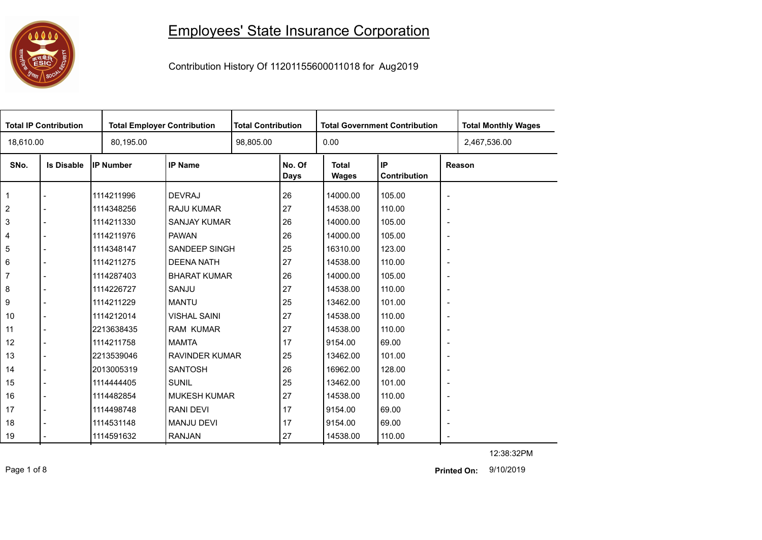## 

## Employees' State Insurance Corporation

Contribution History Of 11201155600011018 for Aug2019

| <b>Total IP Contribution</b> |                   |                  | <b>Total Employer Contribution</b> |  | <b>Total Contribution</b> |                              | <b>Total Government Contribution</b> | <b>Total Monthly Wages</b> |              |
|------------------------------|-------------------|------------------|------------------------------------|--|---------------------------|------------------------------|--------------------------------------|----------------------------|--------------|
| 18,610.00                    |                   | 80,195.00        |                                    |  |                           | 0.00                         |                                      |                            | 2,467,536.00 |
| SNo.                         | <b>Is Disable</b> | <b>IP Number</b> | <b>IP Name</b>                     |  | No. Of<br><b>Days</b>     | <b>Total</b><br><b>Wages</b> | IP<br>Contribution                   |                            | Reason       |
| $\overline{1}$               |                   | 1114211996       | <b>DEVRAJ</b>                      |  | 26                        | 14000.00                     | 105.00                               | $\overline{\phantom{a}}$   |              |
| $\sqrt{2}$                   |                   | 1114348256       | <b>RAJU KUMAR</b>                  |  | 27                        | 14538.00                     | 110.00                               | $\overline{\phantom{a}}$   |              |
| $\mathbf{3}$                 |                   | 1114211330       | <b>SANJAY KUMAR</b>                |  | 26                        | 14000.00                     | 105.00                               | $\overline{\phantom{a}}$   |              |
| $\overline{4}$               |                   | 1114211976       | <b>PAWAN</b>                       |  | 26                        | 14000.00                     | 105.00                               | $\blacksquare$             |              |
| 5                            |                   | 1114348147       | <b>SANDEEP SINGH</b>               |  | 25                        | 16310.00                     | 123.00                               | $\overline{\phantom{a}}$   |              |
| 6                            |                   | 1114211275       | <b>DEENA NATH</b>                  |  | 27                        | 14538.00                     | 110.00                               | $\overline{\phantom{a}}$   |              |
| $\overline{7}$               |                   | 1114287403       | <b>BHARAT KUMAR</b>                |  | 26                        | 14000.00                     | 105.00                               | $\overline{\phantom{a}}$   |              |
| 8                            |                   | 1114226727       | SANJU                              |  | 27                        | 14538.00                     | 110.00                               | $\overline{\phantom{a}}$   |              |
| 9                            |                   | 1114211229       | <b>MANTU</b>                       |  | 25                        | 13462.00                     | 101.00                               | $\overline{\phantom{a}}$   |              |
| 10                           |                   | 1114212014       | <b>VISHAL SAINI</b>                |  | 27                        | 14538.00                     | 110.00                               | $\overline{\phantom{a}}$   |              |
| 11                           |                   | 2213638435       | <b>RAM KUMAR</b>                   |  | 27                        | 14538.00                     | 110.00                               | $\overline{\phantom{a}}$   |              |
| 12                           |                   | 1114211758       | <b>MAMTA</b>                       |  | 17                        | 9154.00                      | 69.00                                | $\overline{\phantom{a}}$   |              |
| 13                           |                   | 2213539046       | <b>RAVINDER KUMAR</b>              |  | 25                        | 13462.00                     | 101.00                               | $\blacksquare$             |              |
| 14                           |                   | 2013005319       | <b>SANTOSH</b>                     |  | 26                        | 16962.00                     | 128.00                               | $\overline{\phantom{a}}$   |              |
| 15                           |                   | 1114444405       | <b>SUNIL</b>                       |  | 25                        | 13462.00                     | 101.00                               | $\overline{\phantom{a}}$   |              |
| 16                           |                   | 1114482854       | <b>MUKESH KUMAR</b>                |  | 27                        | 14538.00                     | 110.00                               | $\overline{\phantom{a}}$   |              |
| 17                           |                   | 1114498748       | <b>RANI DEVI</b>                   |  | 17                        | 9154.00                      | 69.00                                | $\overline{\phantom{a}}$   |              |
| 18                           |                   | 1114531148       | <b>MANJU DEVI</b>                  |  | 17                        | 9154.00                      | 69.00                                | $\overline{\phantom{a}}$   |              |
| 19                           |                   | 1114591632       | <b>RANJAN</b>                      |  | 27                        | 14538.00                     | 110.00                               | $\overline{\phantom{a}}$   |              |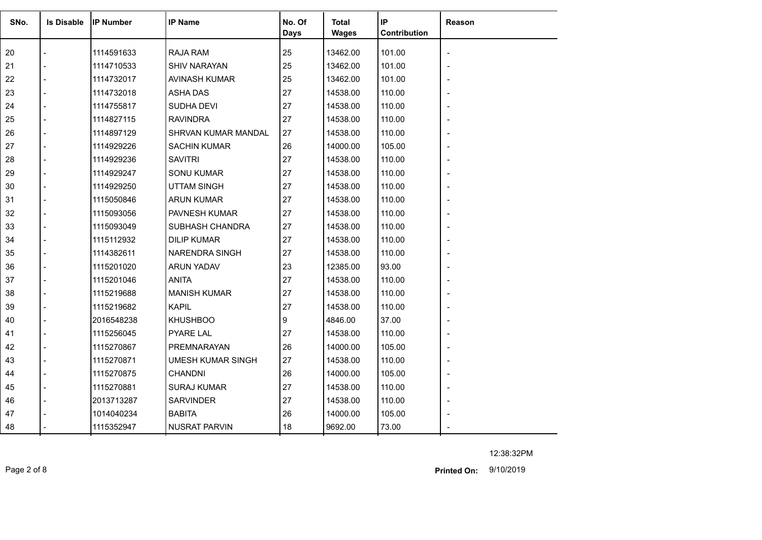| SNo. | <b>Is Disable</b> | <b>IP Number</b> | <b>IP Name</b>           | No. Of<br>Days | Total<br><b>Wages</b> | IP<br>Contribution | Reason                   |
|------|-------------------|------------------|--------------------------|----------------|-----------------------|--------------------|--------------------------|
| 20   |                   | 1114591633       | <b>RAJA RAM</b>          | 25             | 13462.00              | 101.00             |                          |
| 21   |                   | 1114710533       | <b>SHIV NARAYAN</b>      | 25             | 13462.00              | 101.00             |                          |
| 22   |                   | 1114732017       | AVINASH KUMAR            | 25             | 13462.00              | 101.00             |                          |
| 23   |                   | 1114732018       | <b>ASHA DAS</b>          | 27             | 14538.00              | 110.00             |                          |
| 24   |                   | 1114755817       | SUDHA DEVI               | 27             | 14538.00              | 110.00             |                          |
| 25   |                   | 1114827115       | <b>RAVINDRA</b>          | 27             | 14538.00              | 110.00             |                          |
| 26   |                   | 1114897129       | SHRVAN KUMAR MANDAL      | 27             | 14538.00              | 110.00             |                          |
| 27   |                   | 1114929226       | <b>SACHIN KUMAR</b>      | 26             | 14000.00              | 105.00             |                          |
| 28   |                   | 1114929236       | <b>SAVITRI</b>           | 27             | 14538.00              | 110.00             |                          |
| 29   |                   | 1114929247       | <b>SONU KUMAR</b>        | 27             | 14538.00              | 110.00             |                          |
| 30   |                   | 1114929250       | <b>UTTAM SINGH</b>       | 27             | 14538.00              | 110.00             |                          |
| 31   |                   | 1115050846       | <b>ARUN KUMAR</b>        | 27             | 14538.00              | 110.00             |                          |
| 32   |                   | 1115093056       | PAVNESH KUMAR            | 27             | 14538.00              | 110.00             |                          |
| 33   |                   | 1115093049       | SUBHASH CHANDRA          | 27             | 14538.00              | 110.00             |                          |
| 34   |                   | 1115112932       | <b>DILIP KUMAR</b>       | 27             | 14538.00              | 110.00             |                          |
| 35   |                   | 1114382611       | NARENDRA SINGH           | 27             | 14538.00              | 110.00             |                          |
| 36   |                   | 1115201020       | ARUN YADAV               | 23             | 12385.00              | 93.00              |                          |
| 37   |                   | 1115201046       | <b>ANITA</b>             | 27             | 14538.00              | 110.00             |                          |
| 38   |                   | 1115219688       | <b>MANISH KUMAR</b>      | 27             | 14538.00              | 110.00             |                          |
| 39   |                   | 1115219682       | <b>KAPIL</b>             | 27             | 14538.00              | 110.00             |                          |
| 40   |                   | 2016548238       | <b>KHUSHBOO</b>          | 9              | 4846.00               | 37.00              |                          |
| 41   |                   | 1115256045       | <b>PYARE LAL</b>         | 27             | 14538.00              | 110.00             |                          |
| 42   |                   | 1115270867       | PREMNARAYAN              | 26             | 14000.00              | 105.00             |                          |
| 43   |                   | 1115270871       | <b>UMESH KUMAR SINGH</b> | 27             | 14538.00              | 110.00             |                          |
| 44   |                   | 1115270875       | <b>CHANDNI</b>           | 26             | 14000.00              | 105.00             |                          |
| 45   |                   | 1115270881       | <b>SURAJ KUMAR</b>       | 27             | 14538.00              | 110.00             | $\overline{\phantom{a}}$ |
| 46   |                   | 2013713287       | <b>SARVINDER</b>         | 27             | 14538.00              | 110.00             |                          |
| 47   |                   | 1014040234       | <b>BABITA</b>            | 26             | 14000.00              | 105.00             |                          |
| 48   |                   | 1115352947       | <b>NUSRAT PARVIN</b>     | 18             | 9692.00               | 73.00              |                          |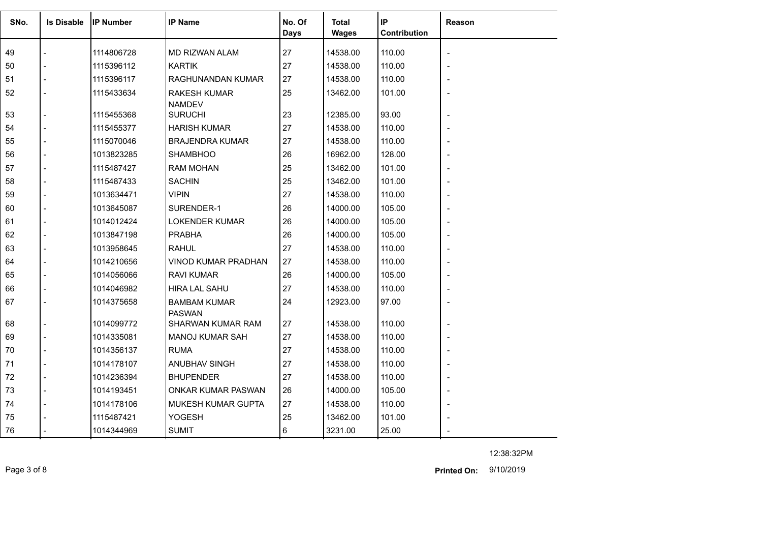| SNo. | <b>Is Disable</b> | <b>IP Number</b> | <b>IP Name</b>                       | No. Of<br><b>Days</b> | <b>Total</b><br><b>Wages</b> | IP<br>Contribution | <b>Reason</b> |
|------|-------------------|------------------|--------------------------------------|-----------------------|------------------------------|--------------------|---------------|
| 49   |                   | 1114806728       | MD RIZWAN ALAM                       | 27                    | 14538.00                     | 110.00             |               |
| 50   |                   | 1115396112       | <b>KARTIK</b>                        | 27                    | 14538.00                     | 110.00             |               |
| 51   |                   | 1115396117       | RAGHUNANDAN KUMAR                    | 27                    | 14538.00                     | 110.00             |               |
| 52   |                   | 1115433634       | <b>RAKESH KUMAR</b><br><b>NAMDEV</b> | 25                    | 13462.00                     | 101.00             |               |
| 53   |                   | 1115455368       | <b>SURUCHI</b>                       | 23                    | 12385.00                     | 93.00              |               |
| 54   |                   | 1115455377       | <b>HARISH KUMAR</b>                  | 27                    | 14538.00                     | 110.00             |               |
| 55   |                   | 1115070046       | <b>BRAJENDRA KUMAR</b>               | 27                    | 14538.00                     | 110.00             |               |
| 56   |                   | 1013823285       | <b>SHAMBHOO</b>                      | 26                    | 16962.00                     | 128.00             |               |
| 57   |                   | 1115487427       | <b>RAM MOHAN</b>                     | 25                    | 13462.00                     | 101.00             |               |
| 58   |                   | 1115487433       | <b>SACHIN</b>                        | 25                    | 13462.00                     | 101.00             |               |
| 59   |                   | 1013634471       | <b>VIPIN</b>                         | 27                    | 14538.00                     | 110.00             |               |
| 60   |                   | 1013645087       | SURENDER-1                           | 26                    | 14000.00                     | 105.00             |               |
| 61   |                   | 1014012424       | <b>LOKENDER KUMAR</b>                | 26                    | 14000.00                     | 105.00             |               |
| 62   |                   | 1013847198       | <b>PRABHA</b>                        | 26                    | 14000.00                     | 105.00             |               |
| 63   |                   | 1013958645       | <b>RAHUL</b>                         | 27                    | 14538.00                     | 110.00             |               |
| 64   |                   | 1014210656       | <b>VINOD KUMAR PRADHAN</b>           | 27                    | 14538.00                     | 110.00             |               |
| 65   |                   | 1014056066       | <b>RAVI KUMAR</b>                    | 26                    | 14000.00                     | 105.00             |               |
| 66   |                   | 1014046982       | <b>HIRA LAL SAHU</b>                 | 27                    | 14538.00                     | 110.00             |               |
| 67   |                   | 1014375658       | <b>BAMBAM KUMAR</b><br><b>PASWAN</b> | 24                    | 12923.00                     | 97.00              |               |
| 68   |                   | 1014099772       | SHARWAN KUMAR RAM                    | 27                    | 14538.00                     | 110.00             |               |
| 69   |                   | 1014335081       | <b>MANOJ KUMAR SAH</b>               | 27                    | 14538.00                     | 110.00             |               |
| 70   |                   | 1014356137       | <b>RUMA</b>                          | 27                    | 14538.00                     | 110.00             |               |
| 71   |                   | 1014178107       | ANUBHAV SINGH                        | 27                    | 14538.00                     | 110.00             |               |
| 72   |                   | 1014236394       | <b>BHUPENDER</b>                     | 27                    | 14538.00                     | 110.00             |               |
| 73   |                   | 1014193451       | ONKAR KUMAR PASWAN                   | 26                    | 14000.00                     | 105.00             |               |
| 74   |                   | 1014178106       | MUKESH KUMAR GUPTA                   | 27                    | 14538.00                     | 110.00             |               |
| 75   |                   | 1115487421       | <b>YOGESH</b>                        | 25                    | 13462.00                     | 101.00             |               |
| 76   |                   | 1014344969       | <b>SUMIT</b>                         | 6                     | 3231.00                      | 25.00              |               |

12:38:32PM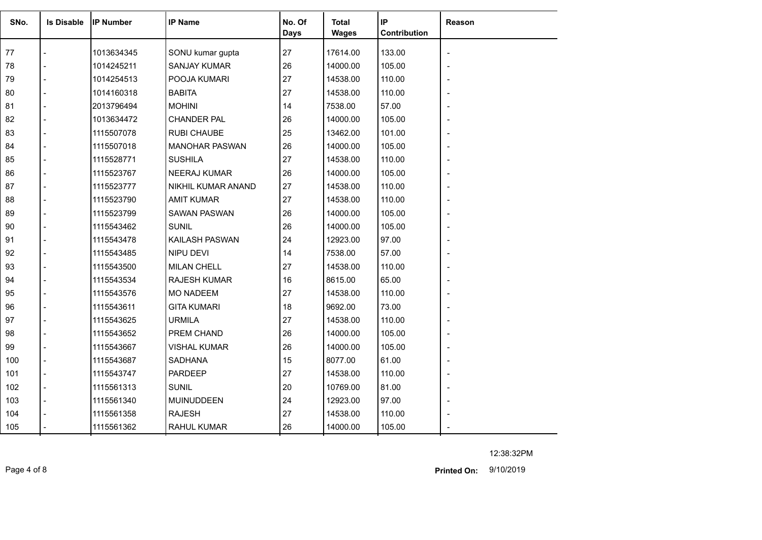| SNo. | <b>Is Disable</b> | lIP Number | <b>IP Name</b>        | No. Of<br>Days | <b>Total</b><br><b>Wages</b> | IP<br>Contribution | Reason |
|------|-------------------|------------|-----------------------|----------------|------------------------------|--------------------|--------|
| 77   |                   | 1013634345 | SONU kumar gupta      | 27             | 17614.00                     | 133.00             |        |
| 78   |                   | 1014245211 | <b>SANJAY KUMAR</b>   | 26             | 14000.00                     | 105.00             |        |
| 79   |                   | 1014254513 | POOJA KUMARI          | 27             | 14538.00                     | 110.00             |        |
| 80   |                   | 1014160318 | <b>BABITA</b>         | 27             | 14538.00                     | 110.00             |        |
| 81   |                   | 2013796494 | <b>MOHINI</b>         | 14             | 7538.00                      | 57.00              |        |
| 82   |                   | 1013634472 | <b>CHANDER PAL</b>    | 26             | 14000.00                     | 105.00             |        |
| 83   |                   | 1115507078 | <b>RUBI CHAUBE</b>    | 25             | 13462.00                     | 101.00             |        |
| 84   |                   | 1115507018 | <b>MANOHAR PASWAN</b> | 26             | 14000.00                     | 105.00             |        |
| 85   |                   | 1115528771 | <b>SUSHILA</b>        | 27             | 14538.00                     | 110.00             |        |
| 86   |                   | 1115523767 | <b>NEERAJ KUMAR</b>   | 26             | 14000.00                     | 105.00             |        |
| 87   |                   | 1115523777 | NIKHIL KUMAR ANAND    | 27             | 14538.00                     | 110.00             |        |
| 88   |                   | 1115523790 | <b>AMIT KUMAR</b>     | 27             | 14538.00                     | 110.00             |        |
| 89   |                   | 1115523799 | <b>SAWAN PASWAN</b>   | 26             | 14000.00                     | 105.00             |        |
| 90   |                   | 1115543462 | <b>SUNIL</b>          | 26             | 14000.00                     | 105.00             |        |
| 91   |                   | 1115543478 | KAILASH PASWAN        | 24             | 12923.00                     | 97.00              |        |
| 92   |                   | 1115543485 | <b>NIPU DEVI</b>      | 14             | 7538.00                      | 57.00              |        |
| 93   |                   | 1115543500 | <b>MILAN CHELL</b>    | 27             | 14538.00                     | 110.00             |        |
| 94   |                   | 1115543534 | <b>RAJESH KUMAR</b>   | 16             | 8615.00                      | 65.00              |        |
| 95   |                   | 1115543576 | <b>MO NADEEM</b>      | 27             | 14538.00                     | 110.00             |        |
| 96   |                   | 1115543611 | <b>GITA KUMARI</b>    | 18             | 9692.00                      | 73.00              |        |
| 97   |                   | 1115543625 | <b>URMILA</b>         | 27             | 14538.00                     | 110.00             |        |
| 98   |                   | 1115543652 | PREM CHAND            | 26             | 14000.00                     | 105.00             |        |
| 99   |                   | 1115543667 | <b>VISHAL KUMAR</b>   | 26             | 14000.00                     | 105.00             |        |
| 100  |                   | 1115543687 | <b>SADHANA</b>        | 15             | 8077.00                      | 61.00              |        |
| 101  |                   | 1115543747 | <b>PARDEEP</b>        | 27             | 14538.00                     | 110.00             |        |
| 102  |                   | 1115561313 | <b>SUNIL</b>          | 20             | 10769.00                     | 81.00              |        |
| 103  |                   | 1115561340 | <b>MUINUDDEEN</b>     | 24             | 12923.00                     | 97.00              |        |
| 104  |                   | 1115561358 | <b>RAJESH</b>         | 27             | 14538.00                     | 110.00             |        |
| 105  |                   | 1115561362 | RAHUL KUMAR           | 26             | 14000.00                     | 105.00             |        |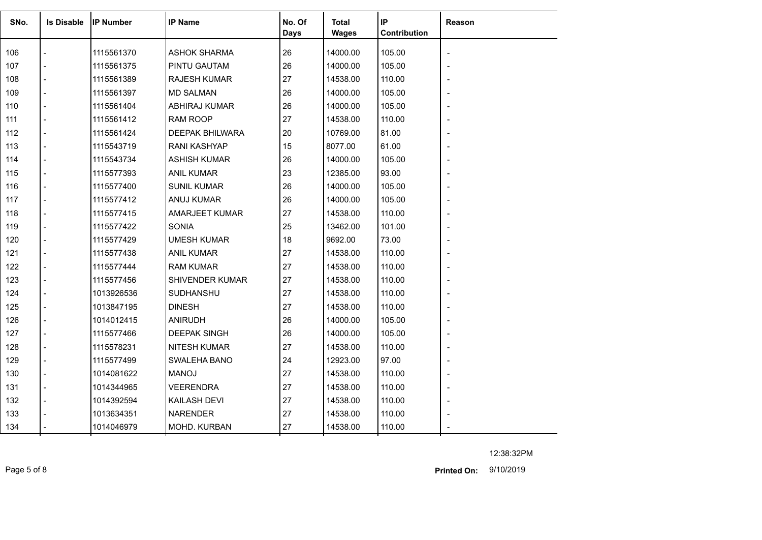| SNo. | <b>Is Disable</b> | <b>IP Number</b> | <b>IP Name</b>         | No. Of<br>Days | Total<br><b>Wages</b> | IP<br>Contribution | Reason                   |
|------|-------------------|------------------|------------------------|----------------|-----------------------|--------------------|--------------------------|
| 106  |                   | 1115561370       | <b>ASHOK SHARMA</b>    | 26             | 14000.00              | 105.00             |                          |
| 107  |                   | 1115561375       | PINTU GAUTAM           | 26             | 14000.00              | 105.00             |                          |
| 108  |                   | 1115561389       | <b>RAJESH KUMAR</b>    | 27             | 14538.00              | 110.00             | $\overline{\phantom{0}}$ |
| 109  |                   | 1115561397       | <b>MD SALMAN</b>       | 26             | 14000.00              | 105.00             |                          |
| 110  |                   | 1115561404       | ABHIRAJ KUMAR          | 26             | 14000.00              | 105.00             |                          |
| 111  |                   | 1115561412       | RAM ROOP               | 27             | 14538.00              | 110.00             |                          |
| 112  |                   | 1115561424       | <b>DEEPAK BHILWARA</b> | 20             | 10769.00              | 81.00              |                          |
| 113  |                   | 1115543719       | <b>RANI KASHYAP</b>    | 15             | 8077.00               | 61.00              |                          |
| 114  |                   | 1115543734       | <b>ASHISH KUMAR</b>    | 26             | 14000.00              | 105.00             |                          |
| 115  |                   | 1115577393       | <b>ANIL KUMAR</b>      | 23             | 12385.00              | 93.00              | $\blacksquare$           |
| 116  |                   | 1115577400       | <b>SUNIL KUMAR</b>     | 26             | 14000.00              | 105.00             |                          |
| 117  |                   | 1115577412       | <b>ANUJ KUMAR</b>      | 26             | 14000.00              | 105.00             |                          |
| 118  |                   | 1115577415       | <b>AMARJEET KUMAR</b>  | 27             | 14538.00              | 110.00             |                          |
| 119  |                   | 1115577422       | <b>SONIA</b>           | 25             | 13462.00              | 101.00             |                          |
| 120  |                   | 1115577429       | <b>UMESH KUMAR</b>     | 18             | 9692.00               | 73.00              |                          |
| 121  |                   | 1115577438       | <b>ANIL KUMAR</b>      | 27             | 14538.00              | 110.00             |                          |
| 122  |                   | 1115577444       | <b>RAM KUMAR</b>       | 27             | 14538.00              | 110.00             |                          |
| 123  |                   | 1115577456       | SHIVENDER KUMAR        | 27             | 14538.00              | 110.00             |                          |
| 124  |                   | 1013926536       | SUDHANSHU              | 27             | 14538.00              | 110.00             |                          |
| 125  |                   | 1013847195       | <b>DINESH</b>          | 27             | 14538.00              | 110.00             |                          |
| 126  |                   | 1014012415       | <b>ANIRUDH</b>         | 26             | 14000.00              | 105.00             |                          |
| 127  |                   | 1115577466       | <b>DEEPAK SINGH</b>    | 26             | 14000.00              | 105.00             |                          |
| 128  |                   | 1115578231       | <b>NITESH KUMAR</b>    | 27             | 14538.00              | 110.00             |                          |
| 129  |                   | 1115577499       | SWALEHA BANO           | 24             | 12923.00              | 97.00              |                          |
| 130  |                   | 1014081622       | <b>MANOJ</b>           | 27             | 14538.00              | 110.00             |                          |
| 131  |                   | 1014344965       | <b>VEERENDRA</b>       | 27             | 14538.00              | 110.00             | $\blacksquare$           |
| 132  |                   | 1014392594       | KAILASH DEVI           | 27             | 14538.00              | 110.00             |                          |
| 133  |                   | 1013634351       | <b>NARENDER</b>        | 27             | 14538.00              | 110.00             |                          |
| 134  |                   | 1014046979       | MOHD. KURBAN           | 27             | 14538.00              | 110.00             |                          |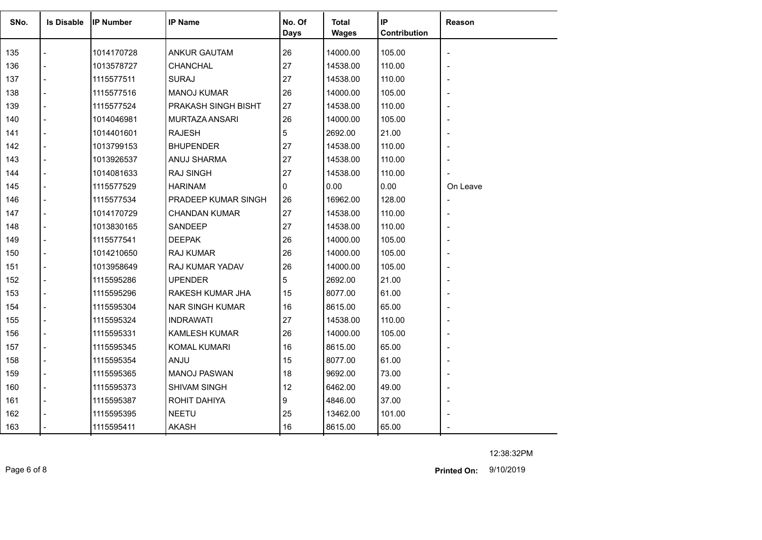| SNo. | <b>Is Disable</b>        | IIP Number | <b>IP Name</b>         | No. Of<br>Days | <b>Total</b><br><b>Wages</b> | IP<br>Contribution | Reason         |
|------|--------------------------|------------|------------------------|----------------|------------------------------|--------------------|----------------|
| 135  |                          | 1014170728 | <b>ANKUR GAUTAM</b>    | 26             | 14000.00                     | 105.00             |                |
| 136  |                          | 1013578727 | <b>CHANCHAL</b>        | 27             | 14538.00                     | 110.00             |                |
| 137  | $\blacksquare$           | 1115577511 | <b>SURAJ</b>           | 27             | 14538.00                     | 110.00             |                |
| 138  |                          | 1115577516 | <b>MANOJ KUMAR</b>     | 26             | 14000.00                     | 105.00             |                |
| 139  | $\blacksquare$           | 1115577524 | PRAKASH SINGH BISHT    | 27             | 14538.00                     | 110.00             |                |
| 140  | $\overline{a}$           | 1014046981 | MURTAZA ANSARI         | 26             | 14000.00                     | 105.00             |                |
| 141  |                          | 1014401601 | <b>RAJESH</b>          | 5              | 2692.00                      | 21.00              |                |
| 142  | $\blacksquare$           | 1013799153 | <b>BHUPENDER</b>       | 27             | 14538.00                     | 110.00             |                |
| 143  | $\blacksquare$           | 1013926537 | ANUJ SHARMA            | 27             | 14538.00                     | 110.00             | $\blacksquare$ |
| 144  |                          | 1014081633 | <b>RAJ SINGH</b>       | 27             | 14538.00                     | 110.00             |                |
| 145  | $\blacksquare$           | 1115577529 | <b>HARINAM</b>         | 0              | 0.00                         | 0.00               | On Leave       |
| 146  | $\overline{a}$           | 1115577534 | PRADEEP KUMAR SINGH    | 26             | 16962.00                     | 128.00             | $\blacksquare$ |
| 147  |                          | 1014170729 | CHANDAN KUMAR          | 27             | 14538.00                     | 110.00             |                |
| 148  | $\blacksquare$           | 1013830165 | SANDEEP                | 27             | 14538.00                     | 110.00             |                |
| 149  | $\blacksquare$           | 1115577541 | <b>DEEPAK</b>          | 26             | 14000.00                     | 105.00             |                |
| 150  | $\overline{\phantom{a}}$ | 1014210650 | RAJ KUMAR              | 26             | 14000.00                     | 105.00             |                |
| 151  |                          | 1013958649 | RAJ KUMAR YADAV        | 26             | 14000.00                     | 105.00             |                |
| 152  |                          | 1115595286 | <b>UPENDER</b>         | 5              | 2692.00                      | 21.00              |                |
| 153  | $\blacksquare$           | 1115595296 | RAKESH KUMAR JHA       | 15             | 8077.00                      | 61.00              |                |
| 154  | $\overline{a}$           | 1115595304 | <b>NAR SINGH KUMAR</b> | 16             | 8615.00                      | 65.00              |                |
| 155  |                          | 1115595324 | <b>INDRAWATI</b>       | 27             | 14538.00                     | 110.00             |                |
| 156  | $\blacksquare$           | 1115595331 | <b>KAMLESH KUMAR</b>   | 26             | 14000.00                     | 105.00             |                |
| 157  | $\overline{a}$           | 1115595345 | <b>KOMAL KUMARI</b>    | 16             | 8615.00                      | 65.00              |                |
| 158  |                          | 1115595354 | ANJU                   | 15             | 8077.00                      | 61.00              |                |
| 159  | $\blacksquare$           | 1115595365 | <b>MANOJ PASWAN</b>    | 18             | 9692.00                      | 73.00              |                |
| 160  | $\blacksquare$           | 1115595373 | <b>SHIVAM SINGH</b>    | 12             | 6462.00                      | 49.00              | $\overline{a}$ |
| 161  |                          | 1115595387 | ROHIT DAHIYA           | 9              | 4846.00                      | 37.00              |                |
| 162  |                          | 1115595395 | <b>NEETU</b>           | 25             | 13462.00                     | 101.00             |                |
| 163  |                          | 1115595411 | <b>AKASH</b>           | 16             | 8615.00                      | 65.00              |                |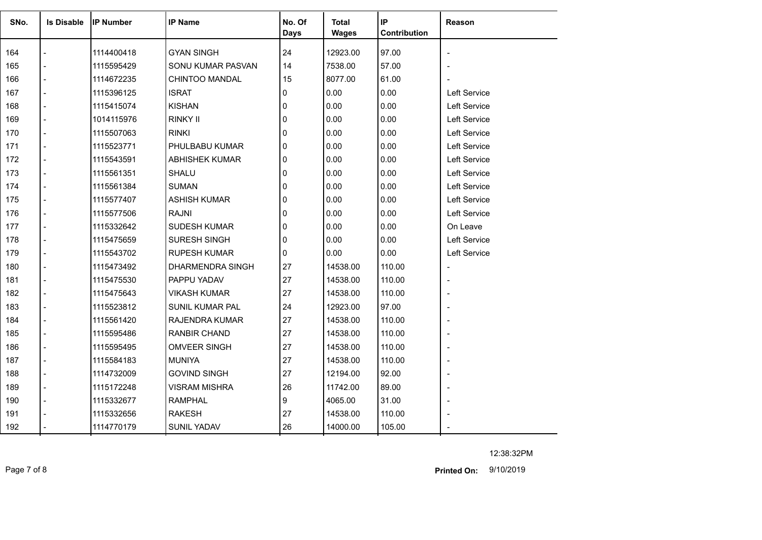| SNo. | <b>Is Disable</b> | <b>IP Number</b> | <b>IP Name</b>          | No. Of<br><b>Days</b> | <b>Total</b><br><b>Wages</b> | IP<br>Contribution | Reason                   |
|------|-------------------|------------------|-------------------------|-----------------------|------------------------------|--------------------|--------------------------|
| 164  |                   | 1114400418       | <b>GYAN SINGH</b>       | 24                    | 12923.00                     | 97.00              |                          |
| 165  |                   | 1115595429       | SONU KUMAR PASVAN       | 14                    | 7538.00                      | 57.00              |                          |
| 166  |                   | 1114672235       | <b>CHINTOO MANDAL</b>   | 15                    | 8077.00                      | 61.00              |                          |
| 167  |                   | 1115396125       | <b>ISRAT</b>            | 0                     | 0.00                         | 0.00               | <b>Left Service</b>      |
| 168  |                   | 1115415074       | <b>KISHAN</b>           | 0                     | 0.00                         | 0.00               | Left Service             |
| 169  |                   | 1014115976       | <b>RINKY II</b>         | 0                     | 0.00                         | 0.00               | Left Service             |
| 170  |                   | 1115507063       | <b>RINKI</b>            | $\mathbf{0}$          | 0.00                         | 0.00               | Left Service             |
| 171  | $\overline{a}$    | 1115523771       | PHULBABU KUMAR          | 0                     | 0.00                         | 0.00               | Left Service             |
| 172  | $\overline{a}$    | 1115543591       | <b>ABHISHEK KUMAR</b>   | $\Omega$              | 0.00                         | 0.00               | Left Service             |
| 173  |                   | 1115561351       | SHALU                   | $\mathbf{0}$          | 0.00                         | 0.00               | Left Service             |
| 174  |                   | 1115561384       | <b>SUMAN</b>            | 0                     | 0.00                         | 0.00               | Left Service             |
| 175  |                   | 1115577407       | <b>ASHISH KUMAR</b>     | 0                     | 0.00                         | 0.00               | Left Service             |
| 176  |                   | 1115577506       | <b>RAJNI</b>            | 0                     | 0.00                         | 0.00               | Left Service             |
| 177  |                   | 1115332642       | <b>SUDESH KUMAR</b>     | $\mathbf{0}$          | 0.00                         | 0.00               | On Leave                 |
| 178  |                   | 1115475659       | <b>SURESH SINGH</b>     | $\mathbf{0}$          | 0.00                         | 0.00               | Left Service             |
| 179  |                   | 1115543702       | <b>RUPESH KUMAR</b>     | $\mathbf{0}$          | 0.00                         | 0.00               | Left Service             |
| 180  |                   | 1115473492       | <b>DHARMENDRA SINGH</b> | 27                    | 14538.00                     | 110.00             | $\overline{\phantom{a}}$ |
| 181  |                   | 1115475530       | PAPPU YADAV             | 27                    | 14538.00                     | 110.00             | $\overline{a}$           |
| 182  |                   | 1115475643       | <b>VIKASH KUMAR</b>     | 27                    | 14538.00                     | 110.00             |                          |
| 183  |                   | 1115523812       | <b>SUNIL KUMAR PAL</b>  | 24                    | 12923.00                     | 97.00              |                          |
| 184  |                   | 1115561420       | RAJENDRA KUMAR          | 27                    | 14538.00                     | 110.00             |                          |
| 185  |                   | 1115595486       | <b>RANBIR CHAND</b>     | 27                    | 14538.00                     | 110.00             |                          |
| 186  |                   | 1115595495       | <b>OMVEER SINGH</b>     | 27                    | 14538.00                     | 110.00             | $\blacksquare$           |
| 187  |                   | 1115584183       | <b>MUNIYA</b>           | 27                    | 14538.00                     | 110.00             |                          |
| 188  | $\overline{a}$    | 1114732009       | <b>GOVIND SINGH</b>     | 27                    | 12194.00                     | 92.00              |                          |
| 189  | $\overline{a}$    | 1115172248       | <b>VISRAM MISHRA</b>    | 26                    | 11742.00                     | 89.00              |                          |
| 190  |                   | 1115332677       | <b>RAMPHAL</b>          | 9                     | 4065.00                      | 31.00              |                          |
| 191  |                   | 1115332656       | <b>RAKESH</b>           | 27                    | 14538.00                     | 110.00             |                          |
| 192  |                   | 1114770179       | <b>SUNIL YADAV</b>      | 26                    | 14000.00                     | 105.00             |                          |